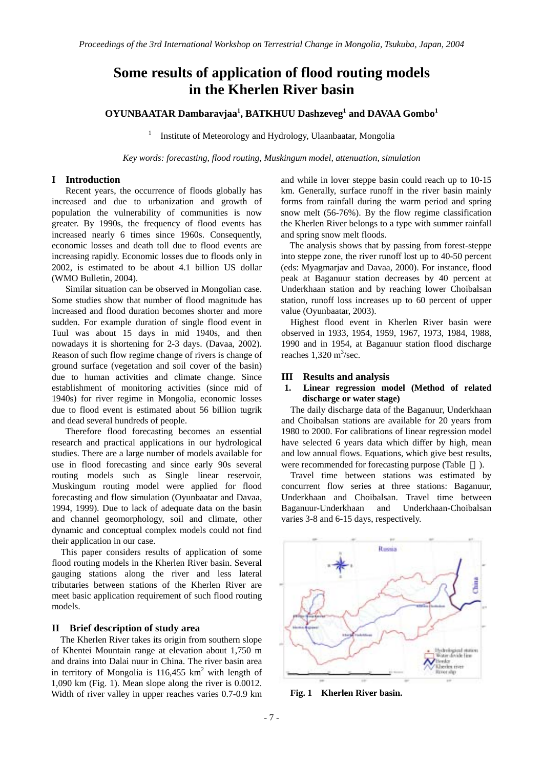# **Some results of application of flood routing models in the Kherlen River basin**

# **OYUNBAATAR Dambaravjaa<sup>1</sup> , BATKHUU Dashzeveg<sup>1</sup> and DAVAA Gombo<sup>1</sup>**

1 Institute of Meteorology and Hydrology, Ulaanbaatar, Mongolia

*Key words: forecasting, flood routing, Muskingum model, attenuation, simulation* 

# **I Introduction**

 Recent years, the occurrence of floods globally has increased and due to urbanization and growth of population the vulnerability of communities is now greater. By 1990s, the frequency of flood events has increased nearly 6 times since 1960s. Consequently, economic losses and death toll due to flood events are increasing rapidly. Economic losses due to floods only in 2002, is estimated to be about 4.1 billion US dollar (WMO Bulletin, 2004).

 Similar situation can be observed in Mongolian case. Some studies show that number of flood magnitude has increased and flood duration becomes shorter and more sudden. For example duration of single flood event in Tuul was about 15 days in mid 1940s, and then nowadays it is shortening for 2-3 days. (Davaa, 2002). Reason of such flow regime change of rivers is change of ground surface (vegetation and soil cover of the basin) due to human activities and climate change. Since establishment of monitoring activities (since mid of 1940s) for river regime in Mongolia, economic losses due to flood event is estimated about 56 billion tugrik and dead several hundreds of people.

 Therefore flood forecasting becomes an essential research and practical applications in our hydrological studies. There are a large number of models available for use in flood forecasting and since early 90s several routing models such as Single linear reservoir, Muskingum routing model were applied for flood forecasting and flow simulation (Oyunbaatar and Davaa, 1994, 1999). Due to lack of adequate data on the basin and channel geomorphology, soil and climate, other dynamic and conceptual complex models could not find their application in our case.

This paper considers results of application of some flood routing models in the Kherlen River basin. Several gauging stations along the river and less lateral tributaries between stations of the Kherlen River are meet basic application requirement of such flood routing models.

#### **II Brief description of study area**

 The Kherlen River takes its origin from southern slope of Khentei Mountain range at elevation about 1,750 m and drains into Dalai nuur in China. The river basin area in territory of Mongolia is  $116,455$  km<sup>2</sup> with length of 1,090 km (Fig. 1). Mean slope along the river is 0.0012. Width of river valley in upper reaches varies 0.7-0.9 km

and while in lover steppe basin could reach up to 10-15 km. Generally, surface runoff in the river basin mainly forms from rainfall during the warm period and spring snow melt (56-76%). By the flow regime classification the Kherlen River belongs to a type with summer rainfall and spring snow melt floods.

The analysis shows that by passing from forest-steppe into steppe zone, the river runoff lost up to 40-50 percent (eds: Myagmarjav and Davaa, 2000). For instance, flood peak at Baganuur station decreases by 40 percent at Underkhaan station and by reaching lower Choibalsan station, runoff loss increases up to 60 percent of upper value (Oyunbaatar, 2003).

Highest flood event in Kherlen River basin were observed in 1933, 1954, 1959, 1967, 1973, 1984, 1988, 1990 and in 1954, at Baganuur station flood discharge reaches  $1,320 \text{ m}^3/\text{sec}$ .

# **III Results and analysis**

# **1. Linear regression model (Method of related discharge or water stage)**

The daily discharge data of the Baganuur, Underkhaan and Choibalsan stations are available for 20 years from 1980 to 2000. For calibrations of linear regression model have selected 6 years data which differ by high, mean and low annual flows. Equations, which give best results, were recommended for forecasting purpose (Table ).

Travel time between stations was estimated by concurrent flow series at three stations: Baganuur, Underkhaan and Choibalsan. Travel time between Baganuur-Underkhaan and Underkhaan-Choibalsan varies 3-8 and 6-15 days, respectively.



**Fig. 1 Kherlen River basin.**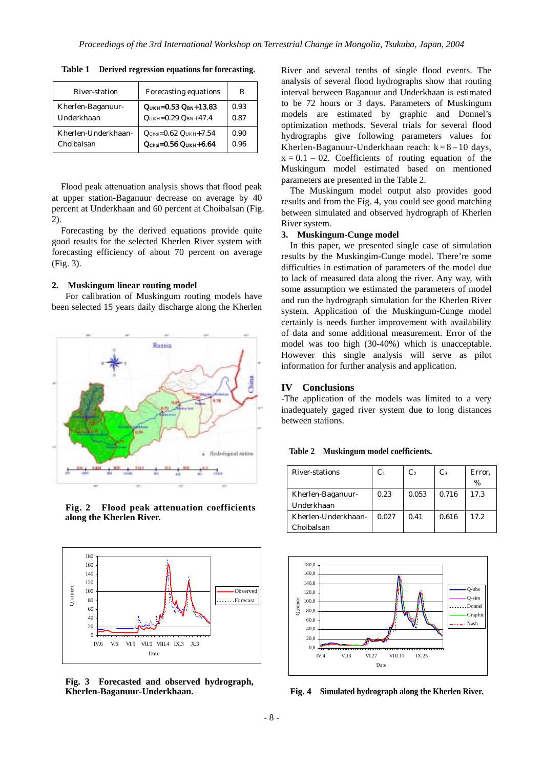| River-station       | Forecasting equations                                  | R    |
|---------------------|--------------------------------------------------------|------|
| Kherlen-Baganuur-   | $QUKH=0.53 QBN+13.83$                                  | 0.93 |
| Underkhaan          | $QUKH=0.29 QBN+47.4$                                   | 0.87 |
| Kherlen-Underkhaan- | $Q_{\text{Choi}} = 0.62 \text{ Q}_{\text{UKH}} + 7.54$ | 0.90 |
| Choibalsan          | $QChot=0.56 QUKH+6.64$                                 | 0.96 |

**Table 1 Derived regression equations for forecasting.**

Flood peak attenuation analysis shows that flood peak at upper station-Baganuur decrease on average by 40 percent at Underkhaan and 60 percent at Choibalsan (Fig. 2).

Forecasting by the derived equations provide quite good results for the selected Kherlen River system with forecasting efficiency of about 70 percent on average (Fig. 3).

#### **2. Muskingum linear routing model**

 For calibration of Muskingum routing models have been selected 15 years daily discharge along the Kherlen



**Fig. 2 Flood peak attenuation coefficients along the Kherlen River.** 



**Fig. 3 Forecasted and observed hydrograph, Kherlen-Baganuur-Underkhaan.** 

River and several tenths of single flood events. The analysis of several flood hydrographs show that routing interval between Baganuur and Underkhaan is estimated to be 72 hours or 3 days. Parameters of Muskingum models are estimated by graphic and Donnel's optimization methods. Several trials for several flood hydrographs give following parameters values for Kherlen-Baganuur-Underkhaan reach:  $k = 8 - 10$  days,  $x = 0.1 - 02$ . Coefficients of routing equation of the Muskingum model estimated based on mentioned parameters are presented in the Table 2.

The Muskingum model output also provides good results and from the Fig. 4, you could see good matching between simulated and observed hydrograph of Kherlen River system.

# **3. Muskingum-Cunge model**

In this paper, we presented single case of simulation results by the Muskingim-Cunge model. There're some difficulties in estimation of parameters of the model due to lack of measured data along the river. Any way, with some assumption we estimated the parameters of model and run the hydrograph simulation for the Kherlen River system. Application of the Muskingum-Cunge model certainly is needs further improvement with availability of data and some additional measurement. Error of the model was too high (30-40%) which is unacceptable. However this single analysis will serve as pilot information for further analysis and application.

# **IV Conclusions**

-The application of the models was limited to a very inadequately gaged river system due to long distances between stations.

**Table 2 Muskingum model coefficients.** 

| River-stations      | C <sub>1</sub> | C <sub>2</sub> | $C_3$ | Error, |
|---------------------|----------------|----------------|-------|--------|
|                     |                |                |       | %      |
| Kherlen-Baganuur-   | 0.23           | 0.053          | 0.716 | 17.3   |
| Underkhaan          |                |                |       |        |
| Kherlen-Underkhaan- | 0.027          | 0.41           | 0.616 | 17.2.  |
| Choibalsan          |                |                |       |        |



**Fig. 4 Simulated hydrograph along the Kherlen River.**